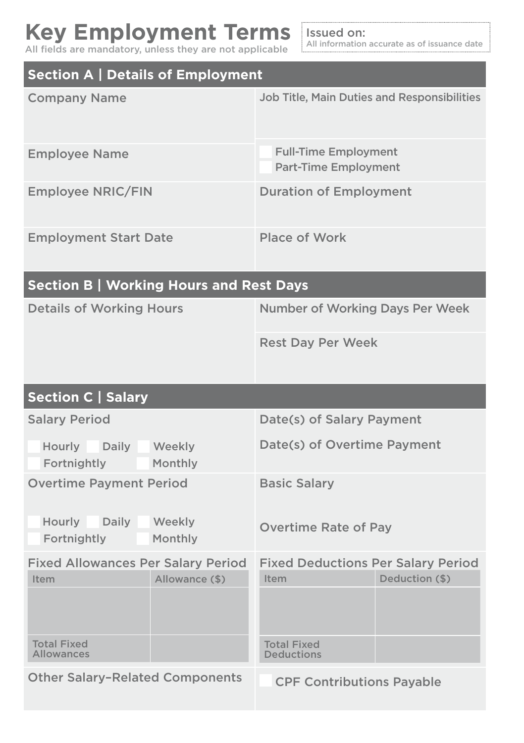## **Key Employment Terms** All fields are mandatory, unless they are not applicable

Issued on: All information accurate as of issuance date

| <b>Section A   Details of Employment</b>                            |                                                                     |
|---------------------------------------------------------------------|---------------------------------------------------------------------|
| <b>Company Name</b>                                                 | <b>Job Title, Main Duties and Responsibilities</b>                  |
| <b>Employee Name</b>                                                | <b>Full-Time Employment</b><br><b>Part-Time Employment</b>          |
| <b>Employee NRIC/FIN</b>                                            | <b>Duration of Employment</b>                                       |
| <b>Employment Start Date</b>                                        | <b>Place of Work</b>                                                |
| <b>Section B   Working Hours and Rest Days</b>                      |                                                                     |
| <b>Details of Working Hours</b>                                     | <b>Number of Working Days Per Week</b>                              |
|                                                                     | <b>Rest Day Per Week</b>                                            |
|                                                                     |                                                                     |
| <b>Section C   Salary</b>                                           |                                                                     |
| <b>Salary Period</b>                                                | Date(s) of Salary Payment                                           |
| Hourly<br>Daily<br>Weekly<br>Fortnightly<br>Monthly                 | Date(s) of Overtime Payment                                         |
| <b>Overtime Payment Period</b>                                      | <b>Basic Salary</b>                                                 |
| Hourly<br>Daily<br>Weekly<br>Monthly<br>Fortnightly                 | <b>Overtime Rate of Pay</b>                                         |
| <b>Fixed Allowances Per Salary Period</b><br>Allowance (\$)<br>Item | <b>Fixed Deductions Per Salary Period</b><br>Deduction (\$)<br>Item |
|                                                                     |                                                                     |
| <b>Total Fixed</b><br><b>Allowances</b>                             | <b>Total Fixed</b><br><b>Deductions</b>                             |
| <b>Other Salary-Related Components</b>                              | <b>CPF Contributions Payable</b>                                    |